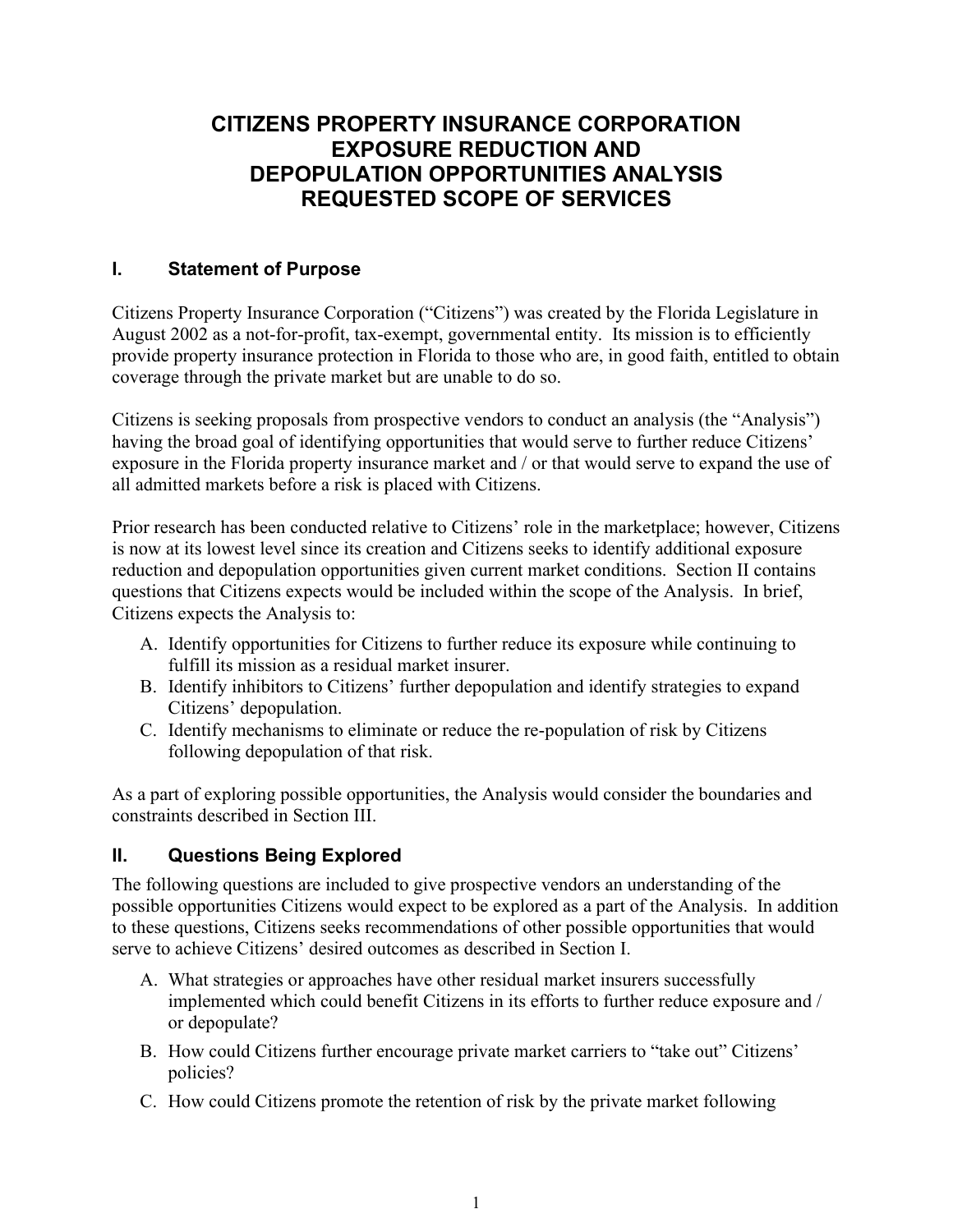## **CITIZENS PROPERTY INSURANCE CORPORATION EXPOSURE REDUCTION AND DEPOPULATION OPPORTUNITIES ANALYSIS REQUESTED SCOPE OF SERVICES**

## **I. Statement of Purpose**

Citizens Property Insurance Corporation ("Citizens") was created by the Florida Legislature in August 2002 as a not-for-profit, tax-exempt, governmental entity. Its mission is to efficiently provide property insurance protection in Florida to those who are, in good faith, entitled to obtain coverage through the private market but are unable to do so.

Citizens is seeking proposals from prospective vendors to conduct an analysis (the "Analysis") having the broad goal of identifying opportunities that would serve to further reduce Citizens' exposure in the Florida property insurance market and / or that would serve to expand the use of all admitted markets before a risk is placed with Citizens.

Prior research has been conducted relative to Citizens' role in the marketplace; however, Citizens is now at its lowest level since its creation and Citizens seeks to identify additional exposure reduction and depopulation opportunities given current market conditions. Section II contains questions that Citizens expects would be included within the scope of the Analysis. In brief, Citizens expects the Analysis to:

- A. Identify opportunities for Citizens to further reduce its exposure while continuing to fulfill its mission as a residual market insurer.
- B. Identify inhibitors to Citizens' further depopulation and identify strategies to expand Citizens' depopulation.
- C. Identify mechanisms to eliminate or reduce the re-population of risk by Citizens following depopulation of that risk.

As a part of exploring possible opportunities, the Analysis would consider the boundaries and constraints described in Section III.

## **II. Questions Being Explored**

The following questions are included to give prospective vendors an understanding of the possible opportunities Citizens would expect to be explored as a part of the Analysis. In addition to these questions, Citizens seeks recommendations of other possible opportunities that would serve to achieve Citizens' desired outcomes as described in Section I.

- A. What strategies or approaches have other residual market insurers successfully implemented which could benefit Citizens in its efforts to further reduce exposure and / or depopulate?
- B. How could Citizens further encourage private market carriers to "take out" Citizens' policies?
- C. How could Citizens promote the retention of risk by the private market following